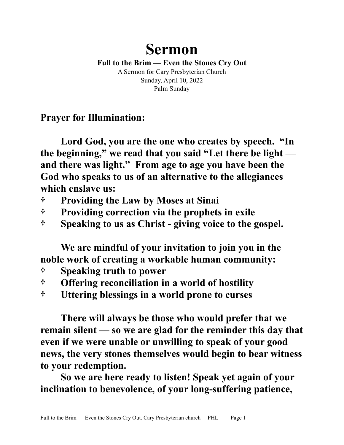## **Sermon**

**Full to the Brim — Even the Stones Cry Out** A Sermon for Cary Presbyterian Church Sunday, April 10, 2022 Palm Sunday

**Prayer for Illumination:**

**Lord God, you are the one who creates by speech. "In the beginning," we read that you said "Let there be light and there was light." From age to age you have been the God who speaks to us of an alternative to the allegiances which enslave us:** 

- **† Providing the Law by Moses at Sinai**
- **† Providing correction via the prophets in exile**
- **† Speaking to us as Christ giving voice to the gospel.**

**We are mindful of your invitation to join you in the noble work of creating a workable human community:**

- **† Speaking truth to power**
- **† Offering reconciliation in a world of hostility**
- **† Uttering blessings in a world prone to curses**

**There will always be those who would prefer that we remain silent — so we are glad for the reminder this day that even if we were unable or unwilling to speak of your good news, the very stones themselves would begin to bear witness to your redemption.** 

**So we are here ready to listen! Speak yet again of your inclination to benevolence, of your long-suffering patience,**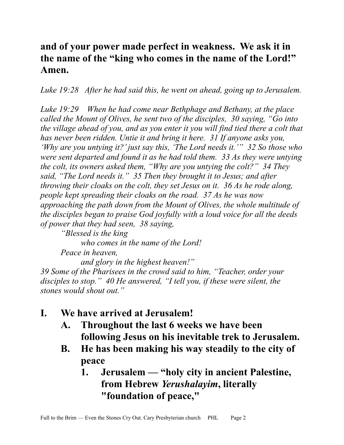## **and of your power made perfect in weakness. We ask it in the name of the "king who comes in the name of the Lord!" Amen.**

*Luke 19:28 After he had said this, he went on ahead, going up to Jerusalem.* 

*Luke 19:29 When he had come near Bethphage and Bethany, at the place called the Mount of Olives, he sent two of the disciples, 30 saying, "Go into the village ahead of you, and as you enter it you will find tied there a colt that has never been ridden. Untie it and bring it here. 31 If anyone asks you, 'Why are you untying it?' just say this, 'The Lord needs it.'" 32 So those who were sent departed and found it as he had told them. 33 As they were untying the colt, its owners asked them, "Why are you untying the colt?" 34 They said, "The Lord needs it." 35 Then they brought it to Jesus; and after throwing their cloaks on the colt, they set Jesus on it. 36 As he rode along, people kept spreading their cloaks on the road. 37 As he was now approaching the path down from the Mount of Olives, the whole multitude of the disciples began to praise God joyfully with a loud voice for all the deeds of power that they had seen, 38 saying,*

*"Blessed is the king who comes in the name of the Lord! Peace in heaven, and glory in the highest heaven!"* 

*39 Some of the Pharisees in the crowd said to him, "Teacher, order your disciples to stop." 40 He answered, "I tell you, if these were silent, the stones would shout out."* 

- **I. We have arrived at Jerusalem!**
	- **A. Throughout the last 6 weeks we have been following Jesus on his inevitable trek to Jerusalem.**
	- **B. He has been making his way steadily to the city of peace**
		- **1. Jerusalem "holy city in ancient Palestine, from Hebrew** *Yerushalayim***, literally "foundation of peace,"**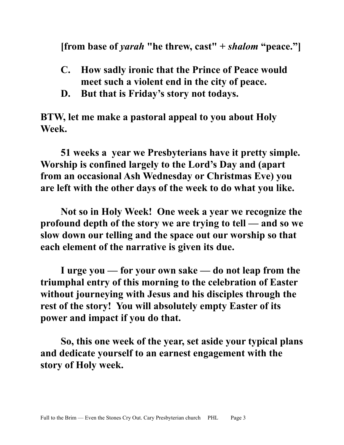**[from base of** *yarah* **"he threw, cast" +** *shalom* **"peace."]**

- **C. How sadly ironic that the Prince of Peace would meet such a violent end in the city of peace.**
- **D. But that is Friday's story not todays.**

**BTW, let me make a pastoral appeal to you about Holy Week.**

**51 weeks a year we Presbyterians have it pretty simple. Worship is confined largely to the Lord's Day and (apart from an occasional Ash Wednesday or Christmas Eve) you are left with the other days of the week to do what you like.**

**Not so in Holy Week! One week a year we recognize the profound depth of the story we are trying to tell — and so we slow down our telling and the space out our worship so that each element of the narrative is given its due.**

**I urge you — for your own sake — do not leap from the triumphal entry of this morning to the celebration of Easter without journeying with Jesus and his disciples through the rest of the story! You will absolutely empty Easter of its power and impact if you do that.**

**So, this one week of the year, set aside your typical plans and dedicate yourself to an earnest engagement with the story of Holy week.**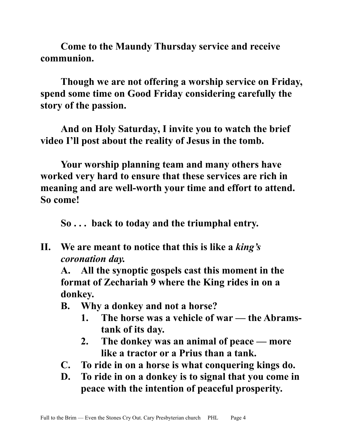**Come to the Maundy Thursday service and receive communion.**

**Though we are not offering a worship service on Friday, spend some time on Good Friday considering carefully the story of the passion.**

**And on Holy Saturday, I invite you to watch the brief video I'll post about the reality of Jesus in the tomb.**

**Your worship planning team and many others have worked very hard to ensure that these services are rich in meaning and are well-worth your time and effort to attend. So come!**

**So . . . back to today and the triumphal entry.**

**II. We are meant to notice that this is like a** *king's coronation day.*

**A. All the synoptic gospels cast this moment in the format of Zechariah 9 where the King rides in on a donkey.**

- **B. Why a donkey and not a horse?**
	- **1. The horse was a vehicle of war the Abramstank of its day.**
	- **2. The donkey was an animal of peace more like a tractor or a Prius than a tank.**
- **C. To ride in on a horse is what conquering kings do.**
- **D. To ride in on a donkey is to signal that you come in peace with the intention of peaceful prosperity.**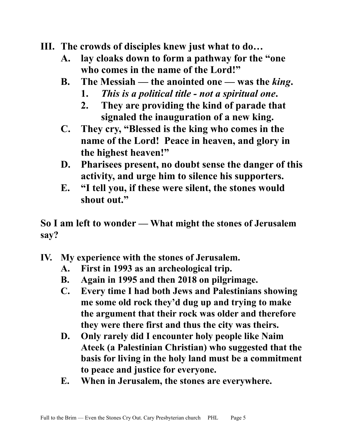## **III. The crowds of disciples knew just what to do…**

- **A. lay cloaks down to form a pathway for the "one who comes in the name of the Lord!"**
- **B. The Messiah the anointed one was the** *king***.**
	- **1.** *This is a political title not a spiritual one***.**
	- **2. They are providing the kind of parade that signaled the inauguration of a new king.**
- **C. They cry, "Blessed is the king who comes in the name of the Lord! Peace in heaven, and glory in the highest heaven!"**
- **D. Pharisees present, no doubt sense the danger of this activity, and urge him to silence his supporters.**
- **E. "I tell you, if these were silent, the stones would shout out."**

**So I am left to wonder — What might the stones of Jerusalem say?**

- **IV. My experience with the stones of Jerusalem.**
	- **A. First in 1993 as an archeological trip.**
	- **B. Again in 1995 and then 2018 on pilgrimage.**
	- **C. Every time I had both Jews and Palestinians showing me some old rock they'd dug up and trying to make the argument that their rock was older and therefore they were there first and thus the city was theirs.**
	- **D. Only rarely did I encounter holy people like Naim Ateek (a Palestinian Christian) who suggested that the basis for living in the holy land must be a commitment to peace and justice for everyone.**
	- **E. When in Jerusalem, the stones are everywhere.**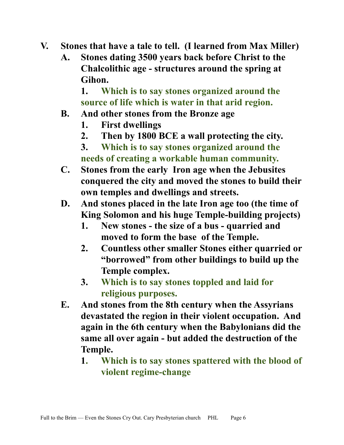- **V. Stones that have a tale to tell. (I learned from Max Miller)**
	- **A. Stones dating 3500 years back before Christ to the Chalcolithic age - structures around the spring at Gihon.**

**1. Which is to say stones organized around the source of life which is water in that arid region.**

- **B. And other stones from the Bronze age**
	- **1. First dwellings**
	- **2. Then by 1800 BCE a wall protecting the city.**
	- **3. Which is to say stones organized around the needs of creating a workable human community.**
- **C. Stones from the early Iron age when the Jebusites conquered the city and moved the stones to build their own temples and dwellings and streets.**
- **D. And stones placed in the late Iron age too (the time of King Solomon and his huge Temple-building projects)**
	- **1. New stones the size of a bus quarried and moved to form the base of the Temple.**
	- **2. Countless other smaller Stones either quarried or "borrowed" from other buildings to build up the Temple complex.**
	- **3. Which is to say stones toppled and laid for religious purposes.**
- **E. And stones from the 8th century when the Assyrians devastated the region in their violent occupation. And again in the 6th century when the Babylonians did the same all over again - but added the destruction of the Temple.**
	- **1. Which is to say stones spattered with the blood of violent regime-change**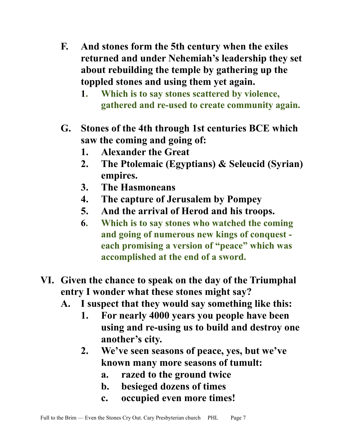- **F. And stones form the 5th century when the exiles returned and under Nehemiah's leadership they set about rebuilding the temple by gathering up the toppled stones and using them yet again.**
	- **1. Which is to say stones scattered by violence, gathered and re-used to create community again.**
- **G. Stones of the 4th through 1st centuries BCE which saw the coming and going of:**
	- **1. Alexander the Great**
	- **2. The Ptolemaic (Egyptians) & Seleucid (Syrian) empires.**
	- **3. The Hasmoneans**
	- **4. The capture of Jerusalem by Pompey**
	- **5. And the arrival of Herod and his troops.**
	- **6. Which is to say stones who watched the coming and going of numerous new kings of conquest each promising a version of "peace" which was accomplished at the end of a sword.**
- **VI. Given the chance to speak on the day of the Triumphal entry I wonder what these stones might say?**
	- **A. I suspect that they would say something like this:**
		- **1. For nearly 4000 years you people have been using and re-using us to build and destroy one another's city.**
		- **2. We've seen seasons of peace, yes, but we've known many more seasons of tumult:**
			- **a. razed to the ground twice**
			- **b. besieged dozens of times**
			- **c. occupied even more times!**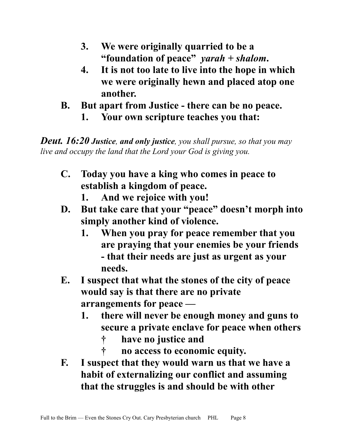- **3. We were originally quarried to be a "foundation of peace"** *yarah + shalom***.**
- **4. It is not too late to live into the hope in which we were originally hewn and placed atop one another.**
- **B. But apart from Justice there can be no peace. 1. Your own scripture teaches you that:**

*Deut. 16:20 Justice, and only justice, you shall pursue, so that you may live and occupy the land that the Lord your God is giving you.* 

- **C. Today you have a king who comes in peace to establish a kingdom of peace.**
	- **1. And we rejoice with you!**
- **D. But take care that your "peace" doesn't morph into simply another kind of violence.**
	- **1. When you pray for peace remember that you are praying that your enemies be your friends - that their needs are just as urgent as your needs.**
- **E. I suspect that what the stones of the city of peace would say is that there are no private arrangements for peace —** 
	- **1. there will never be enough money and guns to secure a private enclave for peace when others** 
		- **† have no justice and**
		- **† no access to economic equity.**
- **F. I suspect that they would warn us that we have a habit of externalizing our conflict and assuming that the struggles is and should be with other**